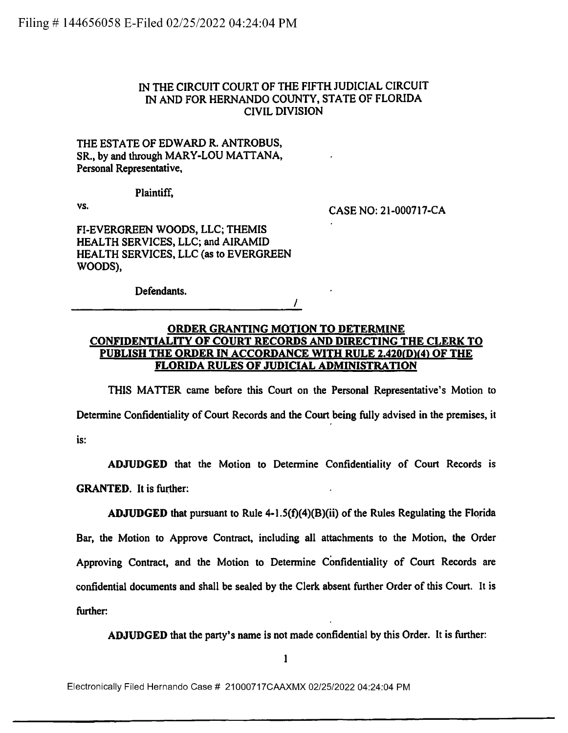## IN THE CIRCUIT COURT OF THE FIFTH JUDICIAL CIRCUIT IN AND FOR HERNANDO COUNTY, STATE OF FLORIDA CIVIL DIVISION

THE ESTATE OF EDWARD R. ANTROBUS, SR., by and through MARY-LOU MATTANA, Personal Representative,

Plaintiff,

vs. CASE NO: 21-000717-CA

FI-EVERGREEN WOODS, LLC; THEMIS HEALTH SERVICES, LLC; and AIRAMID HEALTH SERVICES, LLC (as to EVERGREEN WOODS),

Defendants.

 $\prime$ 

## **ORDER GRANTING MOTION TO DETERMINE CONFIDENTIALITY OF COURT RECORDS AND DIRECTING THE CLERK TO PUBLISH THE ORDER IN ACCORDANCE WITH RULE 2.420(0)(4) OF THE FLORIDA RULES OF JUDICIAL ADMINISTRATION**

THIS MATTER came before this Court on the Personal Representative's Motion to Determine Confidentiality of Court Records and the Court being fully advised in the premises, it is:

**ADJUDGED** that the Motion to Determine Confidentiality of Court Records is **GRANTED.** It is further:

**ADJUDGED** that pursuant to Rule  $4-1.5(f)(4)(B)(ii)$  of the Rules Regulating the Florida Bar, the Motion to Approve Contract, including all attachments to the Motion, the Order Approving Contract, and the Motion to Determine Confidentiality of Court Records are confidential documents and shall be sealed by the Clerk absent further Order of this Court. It is further:

**ADJUDGED** that the party's name is not made confidential by this Order. It is further:

Electronically Filed Hernando Case # 21000717CAAXMX 02/25/2022 04:24:04 PM